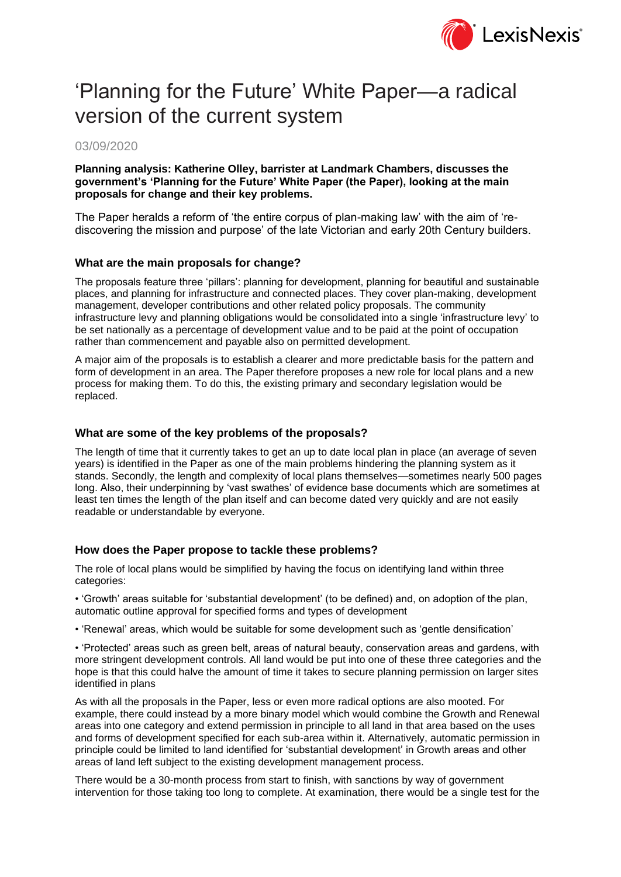

# 'Planning for the Future' White Paper—a radical version of the current system

#### 03/09/2020

#### **Planning analysis: Katherine Olley, barrister at Landmark Chambers, discusses the government's 'Planning for the Future' White Paper (the Paper), looking at the main proposals for change and their key problems.**

The Paper heralds a reform of 'the entire corpus of plan-making law' with the aim of 'rediscovering the mission and purpose' of the late Victorian and early 20th Century builders.

#### **What are the main proposals for change?**

The proposals feature three 'pillars': planning for development, planning for beautiful and sustainable places, and planning for infrastructure and connected places. They cover plan-making, development management, developer contributions and other related policy proposals. The community infrastructure levy and planning obligations would be consolidated into a single 'infrastructure levy' to be set nationally as a percentage of development value and to be paid at the point of occupation rather than commencement and payable also on permitted development.

A major aim of the proposals is to establish a clearer and more predictable basis for the pattern and form of development in an area. The Paper therefore proposes a new role for local plans and a new process for making them. To do this, the existing primary and secondary legislation would be replaced.

#### **What are some of the key problems of the proposals?**

The length of time that it currently takes to get an up to date local plan in place (an average of seven years) is identified in the Paper as one of the main problems hindering the planning system as it stands. Secondly, the length and complexity of local plans themselves—sometimes nearly 500 pages long. Also, their underpinning by 'vast swathes' of evidence base documents which are sometimes at least ten times the length of the plan itself and can become dated very quickly and are not easily readable or understandable by everyone.

#### **How does the Paper propose to tackle these problems?**

The role of local plans would be simplified by having the focus on identifying land within three categories:

• 'Growth' areas suitable for 'substantial development' (to be defined) and, on adoption of the plan, automatic outline approval for specified forms and types of development

• 'Renewal' areas, which would be suitable for some development such as 'gentle densification'

• 'Protected' areas such as green belt, areas of natural beauty, conservation areas and gardens, with more stringent development controls. All land would be put into one of these three categories and the hope is that this could halve the amount of time it takes to secure planning permission on larger sites identified in plans

As with all the proposals in the Paper, less or even more radical options are also mooted. For example, there could instead by a more binary model which would combine the Growth and Renewal areas into one category and extend permission in principle to all land in that area based on the uses and forms of development specified for each sub-area within it. Alternatively, automatic permission in principle could be limited to land identified for 'substantial development' in Growth areas and other areas of land left subject to the existing development management process.

There would be a 30-month process from start to finish, with sanctions by way of government intervention for those taking too long to complete. At examination, there would be a single test for the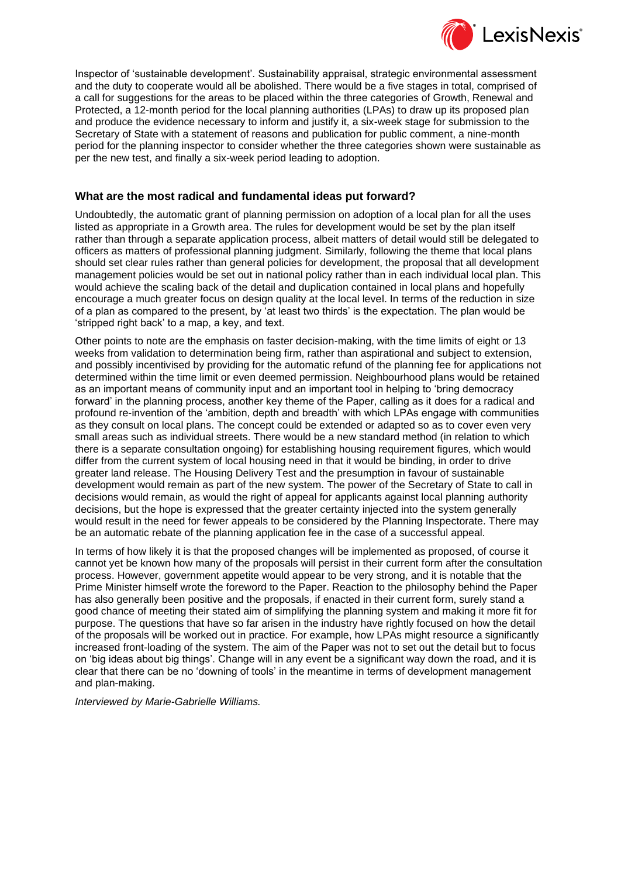

Inspector of 'sustainable development'. Sustainability appraisal, strategic environmental assessment and the duty to cooperate would all be abolished. There would be a five stages in total, comprised of a call for suggestions for the areas to be placed within the three categories of Growth, Renewal and Protected, a 12-month period for the local planning authorities (LPAs) to draw up its proposed plan and produce the evidence necessary to inform and justify it, a six-week stage for submission to the Secretary of State with a statement of reasons and publication for public comment, a nine-month period for the planning inspector to consider whether the three categories shown were sustainable as per the new test, and finally a six-week period leading to adoption.

#### **What are the most radical and fundamental ideas put forward?**

Undoubtedly, the automatic grant of planning permission on adoption of a local plan for all the uses listed as appropriate in a Growth area. The rules for development would be set by the plan itself rather than through a separate application process, albeit matters of detail would still be delegated to officers as matters of professional planning judgment. Similarly, following the theme that local plans should set clear rules rather than general policies for development, the proposal that all development management policies would be set out in national policy rather than in each individual local plan. This would achieve the scaling back of the detail and duplication contained in local plans and hopefully encourage a much greater focus on design quality at the local level. In terms of the reduction in size of a plan as compared to the present, by 'at least two thirds' is the expectation. The plan would be 'stripped right back' to a map, a key, and text.

Other points to note are the emphasis on faster decision-making, with the time limits of eight or 13 weeks from validation to determination being firm, rather than aspirational and subject to extension, and possibly incentivised by providing for the automatic refund of the planning fee for applications not determined within the time limit or even deemed permission. Neighbourhood plans would be retained as an important means of community input and an important tool in helping to 'bring democracy forward' in the planning process, another key theme of the Paper, calling as it does for a radical and profound re-invention of the 'ambition, depth and breadth' with which LPAs engage with communities as they consult on local plans. The concept could be extended or adapted so as to cover even very small areas such as individual streets. There would be a new standard method (in relation to which there is a separate consultation ongoing) for establishing housing requirement figures, which would differ from the current system of local housing need in that it would be binding, in order to drive greater land release. The Housing Delivery Test and the presumption in favour of sustainable development would remain as part of the new system. The power of the Secretary of State to call in decisions would remain, as would the right of appeal for applicants against local planning authority decisions, but the hope is expressed that the greater certainty injected into the system generally would result in the need for fewer appeals to be considered by the Planning Inspectorate. There may be an automatic rebate of the planning application fee in the case of a successful appeal.

In terms of how likely it is that the proposed changes will be implemented as proposed, of course it cannot yet be known how many of the proposals will persist in their current form after the consultation process. However, government appetite would appear to be very strong, and it is notable that the Prime Minister himself wrote the foreword to the Paper. Reaction to the philosophy behind the Paper has also generally been positive and the proposals, if enacted in their current form, surely stand a good chance of meeting their stated aim of simplifying the planning system and making it more fit for purpose. The questions that have so far arisen in the industry have rightly focused on how the detail of the proposals will be worked out in practice. For example, how LPAs might resource a significantly increased front-loading of the system. The aim of the Paper was not to set out the detail but to focus on 'big ideas about big things'. Change will in any event be a significant way down the road, and it is clear that there can be no 'downing of tools' in the meantime in terms of development management and plan-making.

*Interviewed by Marie-Gabrielle Williams.*